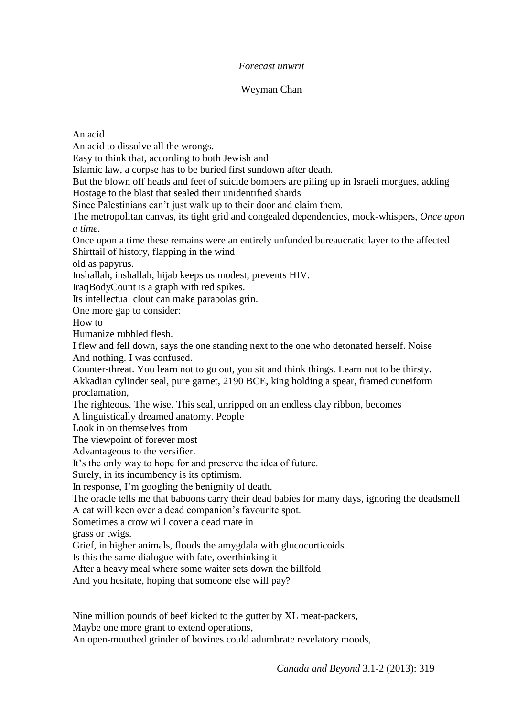## *Forecast unwrit*

## Weyman Chan

## An acid

An acid to dissolve all the wrongs.

Easy to think that, according to both Jewish and

Islamic law, a corpse has to be buried first sundown after death.

But the blown off heads and feet of suicide bombers are piling up in Israeli morgues, adding Hostage to the blast that sealed their unidentified shards

Since Palestinians can't just walk up to their door and claim them.

The metropolitan canvas, its tight grid and congealed dependencies, mock-whispers, *Once upon a time*.

Once upon a time these remains were an entirely unfunded bureaucratic layer to the affected Shirttail of history, flapping in the wind

old as papyrus.

Inshallah, inshallah, hijab keeps us modest, prevents HIV.

IraqBodyCount is a graph with red spikes.

Its intellectual clout can make parabolas grin.

One more gap to consider:

How to

Humanize rubbled flesh.

I flew and fell down, says the one standing next to the one who detonated herself. Noise And nothing. I was confused.

Counter-threat. You learn not to go out, you sit and think things. Learn not to be thirsty. Akkadian cylinder seal, pure garnet, 2190 BCE, king holding a spear, framed cuneiform proclamation,

The righteous. The wise. This seal, unripped on an endless clay ribbon, becomes

A linguistically dreamed anatomy. People

Look in on themselves from

The viewpoint of forever most

Advantageous to the versifier.

It's the only way to hope for and preserve the idea of future.

Surely, in its incumbency is its optimism.

In response, I'm googling the benignity of death.

The oracle tells me that baboons carry their dead babies for many days, ignoring the deadsmell

A cat will keen over a dead companion's favourite spot.

Sometimes a crow will cover a dead mate in

grass or twigs.

Grief, in higher animals, floods the amygdala with glucocorticoids.

Is this the same dialogue with fate, overthinking it

After a heavy meal where some waiter sets down the billfold

And you hesitate, hoping that someone else will pay?

Nine million pounds of beef kicked to the gutter by XL meat-packers,

Maybe one more grant to extend operations,

An open-mouthed grinder of bovines could adumbrate revelatory moods,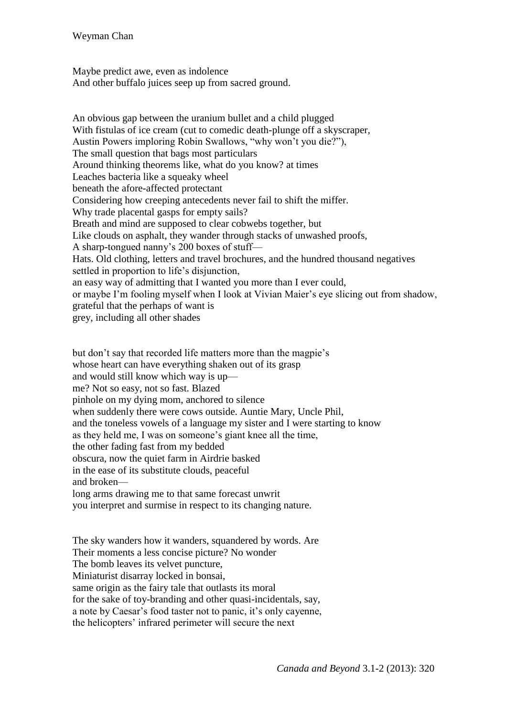Maybe predict awe, even as indolence And other buffalo juices seep up from sacred ground.

An obvious gap between the uranium bullet and a child plugged With fistulas of ice cream (cut to comedic death-plunge off a skyscraper, Austin Powers imploring Robin Swallows, "why won't you die?"), The small question that bags most particulars Around thinking theorems like, what do you know? at times Leaches bacteria like a squeaky wheel beneath the afore-affected protectant Considering how creeping antecedents never fail to shift the miffer. Why trade placental gasps for empty sails? Breath and mind are supposed to clear cobwebs together, but Like clouds on asphalt, they wander through stacks of unwashed proofs, A sharp-tongued nanny's 200 boxes of stuff— Hats. Old clothing, letters and travel brochures, and the hundred thousand negatives settled in proportion to life's disjunction, an easy way of admitting that I wanted you more than I ever could, or maybe I'm fooling myself when I look at Vivian Maier's eye slicing out from shadow, grateful that the perhaps of want is grey, including all other shades

but don't say that recorded life matters more than the magpie's whose heart can have everything shaken out of its grasp and would still know which way is up me? Not so easy, not so fast. Blazed pinhole on my dying mom, anchored to silence when suddenly there were cows outside. Auntie Mary, Uncle Phil, and the toneless vowels of a language my sister and I were starting to know as they held me, I was on someone's giant knee all the time, the other fading fast from my bedded obscura, now the quiet farm in Airdrie basked in the ease of its substitute clouds, peaceful and broken long arms drawing me to that same forecast unwrit you interpret and surmise in respect to its changing nature.

The sky wanders how it wanders, squandered by words. Are Their moments a less concise picture? No wonder The bomb leaves its velvet puncture, Miniaturist disarray locked in bonsai, same origin as the fairy tale that outlasts its moral for the sake of toy-branding and other quasi-incidentals, say, a note by Caesar's food taster not to panic, it's only cayenne, the helicopters' infrared perimeter will secure the next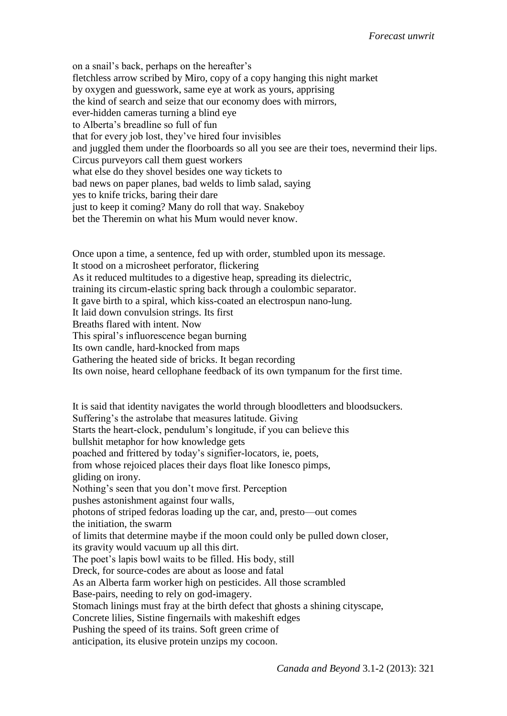on a snail's back, perhaps on the hereafter's fletchless arrow scribed by Miro, copy of a copy hanging this night market by oxygen and guesswork, same eye at work as yours, apprising the kind of search and seize that our economy does with mirrors, ever-hidden cameras turning a blind eye to Alberta's breadline so full of fun that for every job lost, they've hired four invisibles and juggled them under the floorboards so all you see are their toes, nevermind their lips. Circus purveyors call them guest workers what else do they shovel besides one way tickets to bad news on paper planes, bad welds to limb salad, saying yes to knife tricks, baring their dare just to keep it coming? Many do roll that way. Snakeboy bet the Theremin on what his Mum would never know.

Once upon a time, a sentence, fed up with order, stumbled upon its message. It stood on a microsheet perforator, flickering As it reduced multitudes to a digestive heap, spreading its dielectric, training its circum-elastic spring back through a coulombic separator. It gave birth to a spiral, which kiss-coated an electrospun nano-lung. It laid down convulsion strings. Its first Breaths flared with intent. Now This spiral's influorescence began burning Its own candle, hard-knocked from maps Gathering the heated side of bricks. It began recording

Its own noise, heard cellophane feedback of its own tympanum for the first time.

It is said that identity navigates the world through bloodletters and bloodsuckers. Suffering's the astrolabe that measures latitude. Giving Starts the heart-clock, pendulum's longitude, if you can believe this bullshit metaphor for how knowledge gets poached and frittered by today's signifier-locators, ie, poets, from whose rejoiced places their days float like Ionesco pimps, gliding on irony. Nothing's seen that you don't move first. Perception pushes astonishment against four walls, photons of striped fedoras loading up the car, and, presto—out comes the initiation, the swarm of limits that determine maybe if the moon could only be pulled down closer, its gravity would vacuum up all this dirt. The poet's lapis bowl waits to be filled. His body, still Dreck, for source-codes are about as loose and fatal As an Alberta farm worker high on pesticides. All those scrambled Base-pairs, needing to rely on god-imagery. Stomach linings must fray at the birth defect that ghosts a shining cityscape, Concrete lilies, Sistine fingernails with makeshift edges Pushing the speed of its trains. Soft green crime of anticipation, its elusive protein unzips my cocoon.